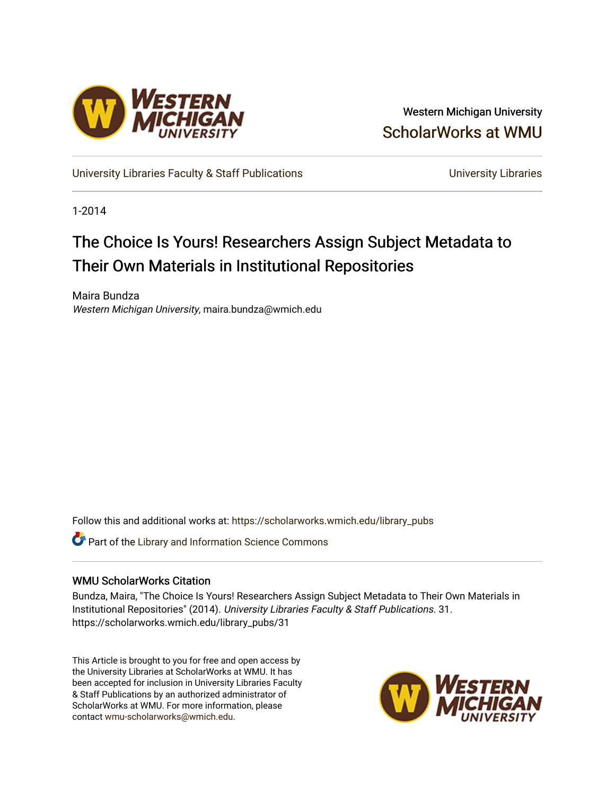

Western Michigan University [ScholarWorks at WMU](https://scholarworks.wmich.edu/) 

[University Libraries Faculty & Staff Publications](https://scholarworks.wmich.edu/library_pubs) **Exercise State Conventions** University Libraries

1-2014

# The Choice Is Yours! Researchers Assign Subject Metadata to Their Own Materials in Institutional Repositories

Maira Bundza Western Michigan University, maira.bundza@wmich.edu

Follow this and additional works at: [https://scholarworks.wmich.edu/library\\_pubs](https://scholarworks.wmich.edu/library_pubs?utm_source=scholarworks.wmich.edu%2Flibrary_pubs%2F31&utm_medium=PDF&utm_campaign=PDFCoverPages) 

Part of the [Library and Information Science Commons](http://network.bepress.com/hgg/discipline/1018?utm_source=scholarworks.wmich.edu%2Flibrary_pubs%2F31&utm_medium=PDF&utm_campaign=PDFCoverPages) 

#### WMU ScholarWorks Citation

Bundza, Maira, "The Choice Is Yours! Researchers Assign Subject Metadata to Their Own Materials in Institutional Repositories" (2014). University Libraries Faculty & Staff Publications. 31. https://scholarworks.wmich.edu/library\_pubs/31

This Article is brought to you for free and open access by the University Libraries at ScholarWorks at WMU. It has been accepted for inclusion in University Libraries Faculty & Staff Publications by an authorized administrator of ScholarWorks at WMU. For more information, please contact [wmu-scholarworks@wmich.edu](mailto:wmu-scholarworks@wmich.edu).

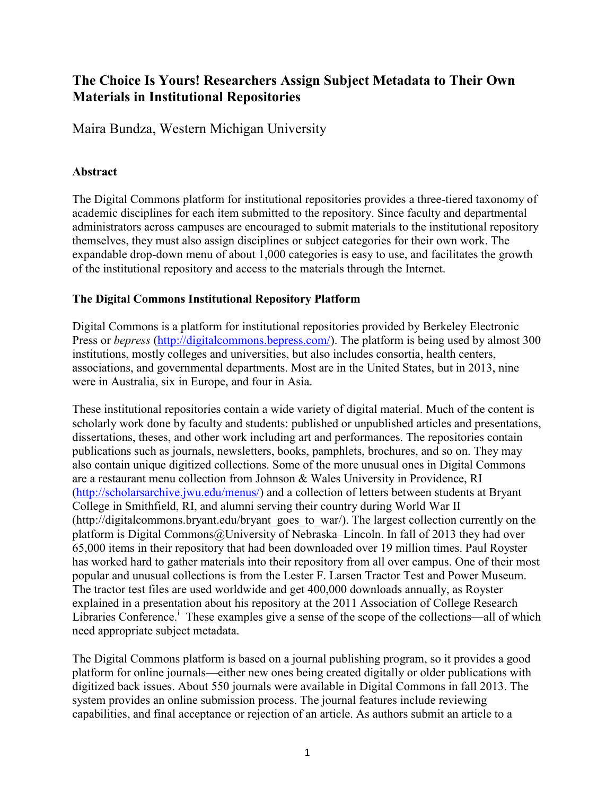### **The Choice Is Yours! Researchers Assign Subject Metadata to Their Own Materials in Institutional Repositories**

Maira Bundza, Western Michigan University

### **Abstract**

The Digital Commons platform for institutional repositories provides a three-tiered taxonomy of academic disciplines for each item submitted to the repository. Since faculty and departmental administrators across campuses are encouraged to submit materials to the institutional repository themselves, they must also assign disciplines or subject categories for their own work. The expandable drop-down menu of about 1,000 categories is easy to use, and facilitates the growth of the institutional repository and access to the materials through the Internet.

### **The Digital Commons Institutional Repository Platform**

Digital Commons is a platform for institutional repositories provided by Berkeley Electronic Press or *bepress* [\(http://digitalcommons.bepress.com/\)](http://digitalcommons.bepress.com/). The platform is being used by almost 300 institutions, mostly colleges and universities, but also includes consortia, health centers, associations, and governmental departments. Most are in the United States, but in 2013, nine were in Australia, six in Europe, and four in Asia.

These institutional repositories contain a wide variety of digital material. Much of the content is scholarly work done by faculty and students: published or unpublished articles and presentations, dissertations, theses, and other work including art and performances. The repositories contain publications such as journals, newsletters, books, pamphlets, brochures, and so on. They may also contain unique digitized collections. Some of the more unusual ones in Digital Commons are a restaurant menu collection from Johnson & Wales University in Providence, RI [\(http://scholarsarchive.jwu.edu/menus/\)](http://scholarsarchive.jwu.edu/menus/) and a collection of letters between students at Bryant College in Smithfield, RI, and alumni serving their country during World War II (http://digitalcommons.bryant.edu/bryant\_goes\_to\_war/). The largest collection currently on the platform is Digital Commons@University of Nebraska–Lincoln. In fall of 2013 they had over 65,000 items in their repository that had been downloaded over 19 million times. Paul Royster has worked hard to gather materials into their repository from all over campus. One of their most popular and unusual collections is from the Lester F. Larsen Tractor Test and Power Museum. The tractor test files are used worldwide and get 400,000 downloads annually, as Royster explained in a presentation about his repository at the 2011 Association of College Research Libraries Conference.<sup>1</sup> These examples give a sense of the scope of the collections—all of which need appropriate subject metadata.

The Digital Commons platform is based on a journal publishing program, so it provides a good platform for online journals—either new ones being created digitally or older publications with digitized back issues. About 550 journals were available in Digital Commons in fall 2013. The system provides an online submission process. The journal features include reviewing capabilities, and final acceptance or rejection of an article. As authors submit an article to a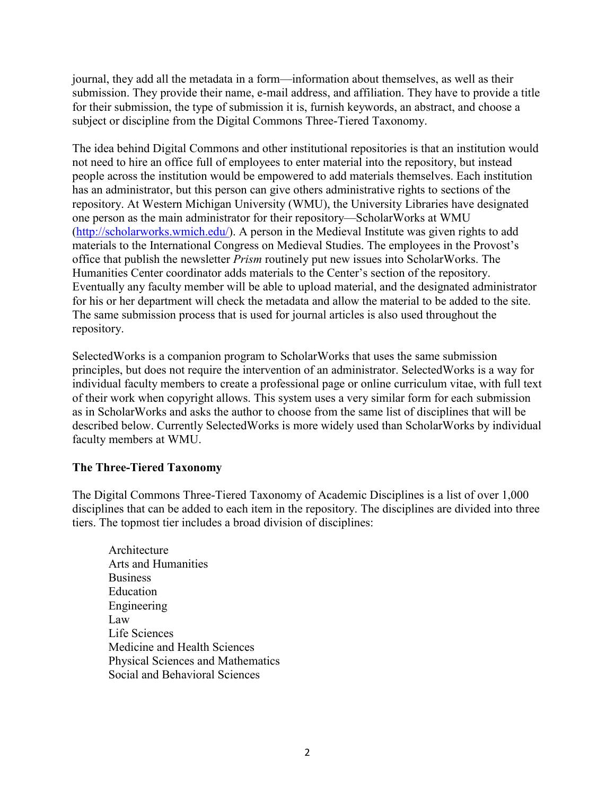journal, they add all the metadata in a form—information about themselves, as well as their submission. They provide their name, e-mail address, and affiliation. They have to provide a title for their submission, the type of submission it is, furnish keywords, an abstract, and choose a subject or discipline from the Digital Commons Three-Tiered Taxonomy.

The idea behind Digital Commons and other institutional repositories is that an institution would not need to hire an office full of employees to enter material into the repository, but instead people across the institution would be empowered to add materials themselves. Each institution has an administrator, but this person can give others administrative rights to sections of the repository. At Western Michigan University (WMU), the University Libraries have designated one person as the main administrator for their repository—ScholarWorks at WMU [\(http://scholarworks.wmich.edu/\)](http://scholarworks.wmich.edu/). A person in the Medieval Institute was given rights to add materials to the International Congress on Medieval Studies. The employees in the Provost's office that publish the newsletter *Prism* routinely put new issues into ScholarWorks. The Humanities Center coordinator adds materials to the Center's section of the repository. Eventually any faculty member will be able to upload material, and the designated administrator for his or her department will check the metadata and allow the material to be added to the site. The same submission process that is used for journal articles is also used throughout the repository.

SelectedWorks is a companion program to ScholarWorks that uses the same submission principles, but does not require the intervention of an administrator. SelectedWorks is a way for individual faculty members to create a professional page or online curriculum vitae, with full text of their work when copyright allows. This system uses a very similar form for each submission as in ScholarWorks and asks the author to choose from the same list of disciplines that will be described below. Currently SelectedWorks is more widely used than ScholarWorks by individual faculty members at WMU.

### **The Three-Tiered Taxonomy**

The Digital Commons Three-Tiered Taxonomy of Academic Disciplines is a list of over 1,000 disciplines that can be added to each item in the repository. The disciplines are divided into three tiers. The topmost tier includes a broad division of disciplines:

**Architecture** Arts and Humanities **Business** Education Engineering Law Life Sciences Medicine and Health Sciences Physical Sciences and Mathematics Social and Behavioral Sciences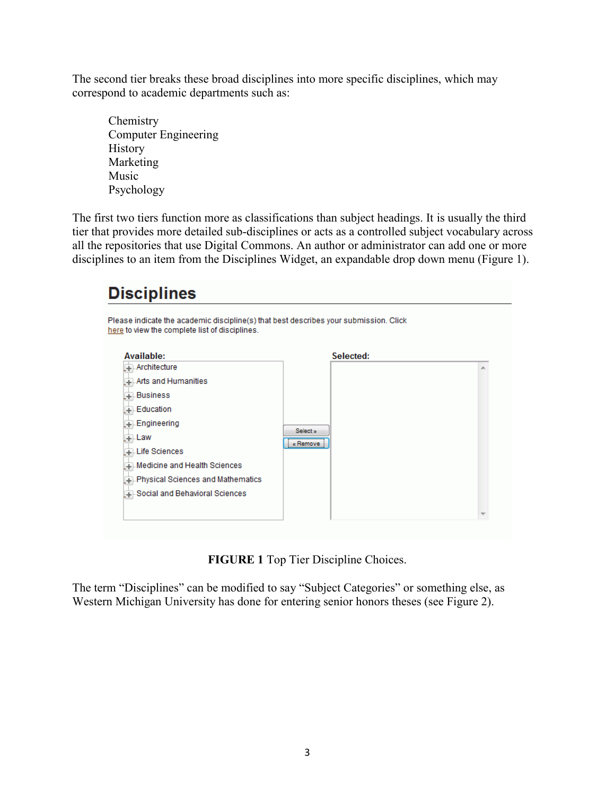The second tier breaks these broad disciplines into more specific disciplines, which may correspond to academic departments such as:

Chemistry Computer Engineering **History Marketing** Music Psychology

The first two tiers function more as classifications than subject headings. It is usually the third tier that provides more detailed sub-disciplines or acts as a controlled subject vocabulary across all the repositories that use Digital Commons. An author or administrator can add one or more disciplines to an item from the Disciplines Widget, an expandable drop down menu (Figure 1).



**FIGURE 1** Top Tier Discipline Choices.

The term "Disciplines" can be modified to say "Subject Categories" or something else, as Western Michigan University has done for entering senior honors theses (see Figure 2).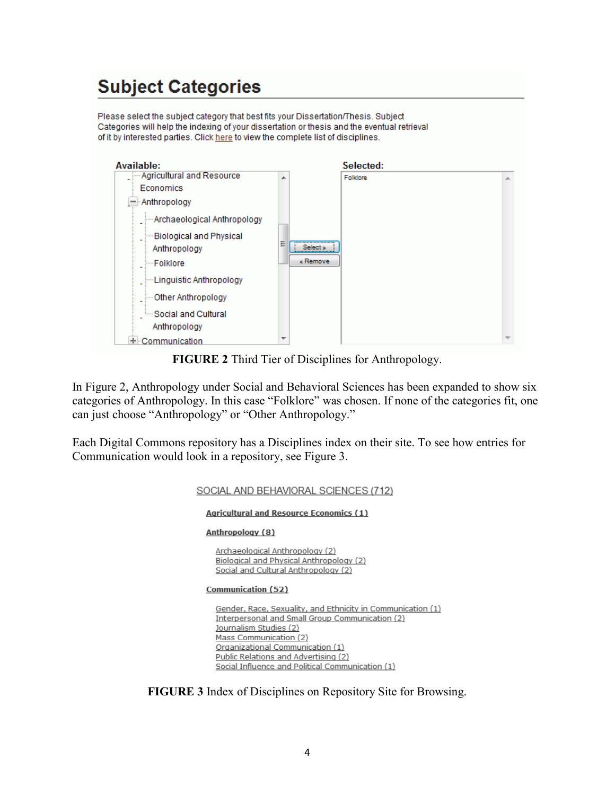# **Subject Categories**

Please select the subject category that best fits your Dissertation/Thesis. Subject Categories will help the indexing of your dissertation or thesis and the eventual retrieval of it by interested parties. Click here to view the complete list of disciplines.



**FIGURE 2** Third Tier of Disciplines for Anthropology.

In Figure 2, Anthropology under Social and Behavioral Sciences has been expanded to show six categories of Anthropology. In this case "Folklore" was chosen. If none of the categories fit, one can just choose "Anthropology" or "Other Anthropology."

Each Digital Commons repository has a Disciplines index on their site. To see how entries for Communication would look in a repository, see Figure 3.

| SOCIAL AND BEHAVIORAL SCIENCES (712)                                                                                                                                                                                                                                                               |
|----------------------------------------------------------------------------------------------------------------------------------------------------------------------------------------------------------------------------------------------------------------------------------------------------|
| <b>Agricultural and Resource Economics (1)</b>                                                                                                                                                                                                                                                     |
| Anthropology (8)                                                                                                                                                                                                                                                                                   |
| Archaeological Anthropology (2)<br>Biological and Physical Anthropology (2)<br>Social and Cultural Anthropology (2)                                                                                                                                                                                |
| Communication (52)                                                                                                                                                                                                                                                                                 |
| Gender, Race, Sexuality, and Ethnicity in Communication (1)<br>Interpersonal and Small Group Communication (2)<br>Journalism Studies (2)<br>Mass Communication (2)<br>Organizational Communication (1)<br>Public Relations and Advertising (2)<br>Social Influence and Political Communication (1) |

**FIGURE 3** Index of Disciplines on Repository Site for Browsing.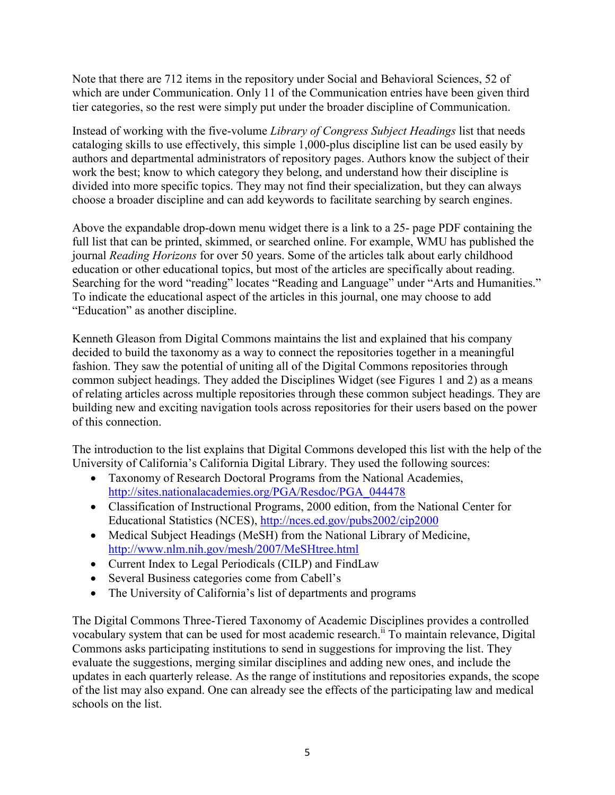Note that there are 712 items in the repository under Social and Behavioral Sciences, 52 of which are under Communication. Only 11 of the Communication entries have been given third tier categories, so the rest were simply put under the broader discipline of Communication.

Instead of working with the five-volume *Library of Congress Subject Headings* list that needs cataloging skills to use effectively, this simple 1,000-plus discipline list can be used easily by authors and departmental administrators of repository pages. Authors know the subject of their work the best; know to which category they belong, and understand how their discipline is divided into more specific topics. They may not find their specialization, but they can always choose a broader discipline and can add keywords to facilitate searching by search engines.

Above the expandable drop-down menu widget there is a link to a 25- page PDF containing the full list that can be printed, skimmed, or searched online. For example, WMU has published the journal *Reading Horizons* for over 50 years. Some of the articles talk about early childhood education or other educational topics, but most of the articles are specifically about reading. Searching for the word "reading" locates "Reading and Language" under "Arts and Humanities." To indicate the educational aspect of the articles in this journal, one may choose to add "Education" as another discipline.

Kenneth Gleason from Digital Commons maintains the list and explained that his company decided to build the taxonomy as a way to connect the repositories together in a meaningful fashion. They saw the potential of uniting all of the Digital Commons repositories through common subject headings. They added the Disciplines Widget (see Figures 1 and 2) as a means of relating articles across multiple repositories through these common subject headings. They are building new and exciting navigation tools across repositories for their users based on the power of this connection.

The introduction to the list explains that Digital Commons developed this list with the help of the University of California's California Digital Library. They used the following sources:

- Taxonomy of Research Doctoral Programs from the National Academies, [http://sites.nationalacademies.org/PGA/Resdoc/PGA\\_044478](http://sites.nationalacademies.org/PGA/Resdoc/PGA_044478)
- Classification of Instructional Programs, 2000 edition, from the National Center for Educational Statistics (NCES),<http://nces.ed.gov/pubs2002/cip2000>
- Medical Subject Headings (MeSH) from the National Library of Medicine, <http://www.nlm.nih.gov/mesh/2007/MeSHtree.html>
- Current Index to Legal Periodicals (CILP) and FindLaw
- Several Business categories come from Cabell's
- The University of California's list of departments and programs

The Digital Commons Three-Tiered Taxonomy of Academic Disciplines provides a controlled vocabulary system that can be used for most academic research.<sup>ii</sup> To maintain relevance, Digital Commons asks participating institutions to send in suggestions for improving the list. They evaluate the suggestions, merging similar disciplines and adding new ones, and include the updates in each quarterly release. As the range of institutions and repositories expands, the scope of the list may also expand. One can already see the effects of the participating law and medical schools on the list.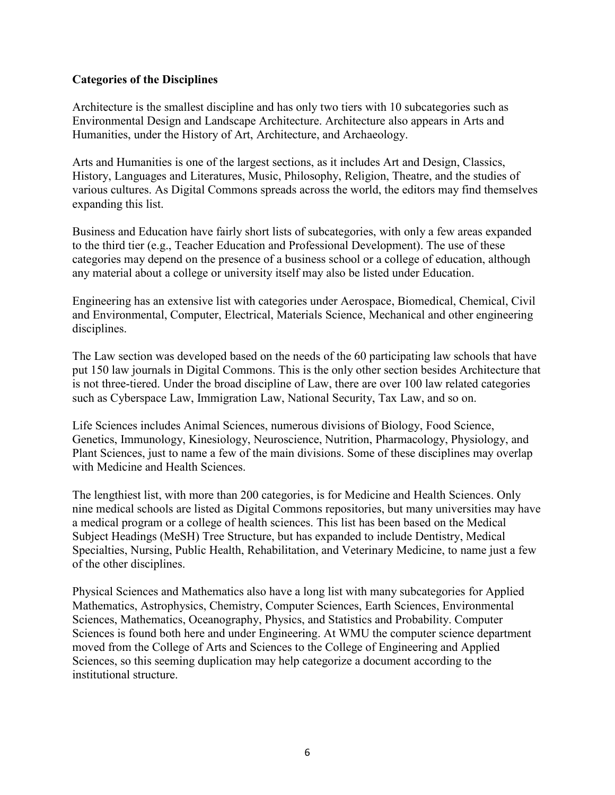#### **Categories of the Disciplines**

Architecture is the smallest discipline and has only two tiers with 10 subcategories such as Environmental Design and Landscape Architecture. Architecture also appears in Arts and Humanities, under the History of Art, Architecture, and Archaeology.

Arts and Humanities is one of the largest sections, as it includes Art and Design, Classics, History, Languages and Literatures, Music, Philosophy, Religion, Theatre, and the studies of various cultures. As Digital Commons spreads across the world, the editors may find themselves expanding this list.

Business and Education have fairly short lists of subcategories, with only a few areas expanded to the third tier (e.g., Teacher Education and Professional Development). The use of these categories may depend on the presence of a business school or a college of education, although any material about a college or university itself may also be listed under Education.

Engineering has an extensive list with categories under Aerospace, Biomedical, Chemical, Civil and Environmental, Computer, Electrical, Materials Science, Mechanical and other engineering disciplines.

The Law section was developed based on the needs of the 60 participating law schools that have put 150 law journals in Digital Commons. This is the only other section besides Architecture that is not three-tiered. Under the broad discipline of Law, there are over 100 law related categories such as Cyberspace Law, Immigration Law, National Security, Tax Law, and so on.

Life Sciences includes Animal Sciences, numerous divisions of Biology, Food Science, Genetics, Immunology, Kinesiology, Neuroscience, Nutrition, Pharmacology, Physiology, and Plant Sciences, just to name a few of the main divisions. Some of these disciplines may overlap with Medicine and Health Sciences.

The lengthiest list, with more than 200 categories, is for Medicine and Health Sciences. Only nine medical schools are listed as Digital Commons repositories, but many universities may have a medical program or a college of health sciences. This list has been based on the Medical Subject Headings (MeSH) Tree Structure, but has expanded to include Dentistry, Medical Specialties, Nursing, Public Health, Rehabilitation, and Veterinary Medicine, to name just a few of the other disciplines.

Physical Sciences and Mathematics also have a long list with many subcategories for Applied Mathematics, Astrophysics, Chemistry, Computer Sciences, Earth Sciences, Environmental Sciences, Mathematics, Oceanography, Physics, and Statistics and Probability. Computer Sciences is found both here and under Engineering. At WMU the computer science department moved from the College of Arts and Sciences to the College of Engineering and Applied Sciences, so this seeming duplication may help categorize a document according to the institutional structure.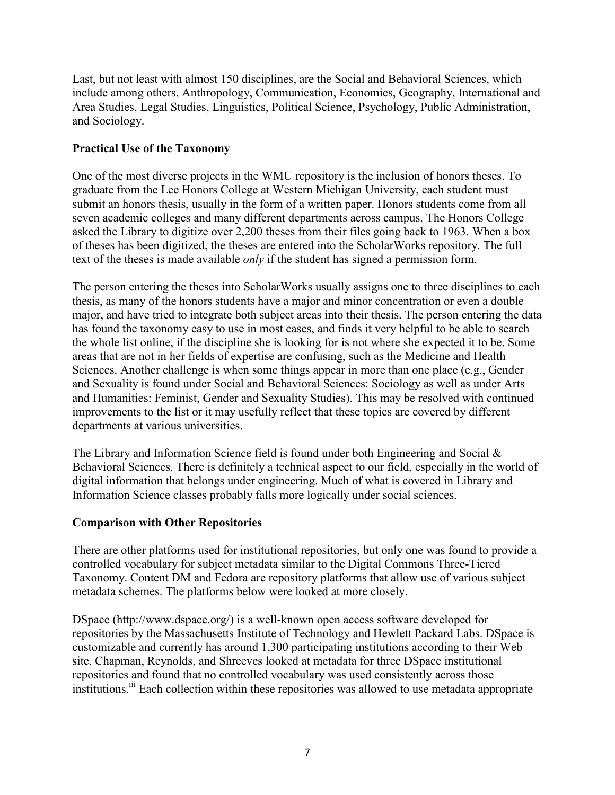Last, but not least with almost 150 disciplines, are the Social and Behavioral Sciences, which include among others, Anthropology, Communication, Economics, Geography, International and Area Studies, Legal Studies, Linguistics, Political Science, Psychology, Public Administration, and Sociology.

### **Practical Use of the Taxonomy**

One of the most diverse projects in the WMU repository is the inclusion of honors theses. To graduate from the Lee Honors College at Western Michigan University, each student must submit an honors thesis, usually in the form of a written paper. Honors students come from all seven academic colleges and many different departments across campus. The Honors College asked the Library to digitize over 2,200 theses from their files going back to 1963. When a box of theses has been digitized, the theses are entered into the ScholarWorks repository. The full text of the theses is made available *only* if the student has signed a permission form.

The person entering the theses into ScholarWorks usually assigns one to three disciplines to each thesis, as many of the honors students have a major and minor concentration or even a double major, and have tried to integrate both subject areas into their thesis. The person entering the data has found the taxonomy easy to use in most cases, and finds it very helpful to be able to search the whole list online, if the discipline she is looking for is not where she expected it to be. Some areas that are not in her fields of expertise are confusing, such as the Medicine and Health Sciences. Another challenge is when some things appear in more than one place (e.g., Gender and Sexuality is found under Social and Behavioral Sciences: Sociology as well as under Arts and Humanities: Feminist, Gender and Sexuality Studies). This may be resolved with continued improvements to the list or it may usefully reflect that these topics are covered by different departments at various universities.

The Library and Information Science field is found under both Engineering and Social & Behavioral Sciences. There is definitely a technical aspect to our field, especially in the world of digital information that belongs under engineering. Much of what is covered in Library and Information Science classes probably falls more logically under social sciences.

### **Comparison with Other Repositories**

There are other platforms used for institutional repositories, but only one was found to provide a controlled vocabulary for subject metadata similar to the Digital Commons Three-Tiered Taxonomy. Content DM and Fedora are repository platforms that allow use of various subject metadata schemes. The platforms below were looked at more closely.

DSpace (http://www.dspace.org/) is a well-known open access software developed for repositories by the Massachusetts Institute of Technology and Hewlett Packard Labs. DSpace is customizable and currently has around 1,300 participating institutions according to their Web site. Chapman, Reynolds, and Shreeves looked at metadata for three DSpace institutional repositories and found that no controlled vocabulary was used consistently across those institutions.<sup>iii</sup> Each collection within these repositories was allowed to use metadata appropriate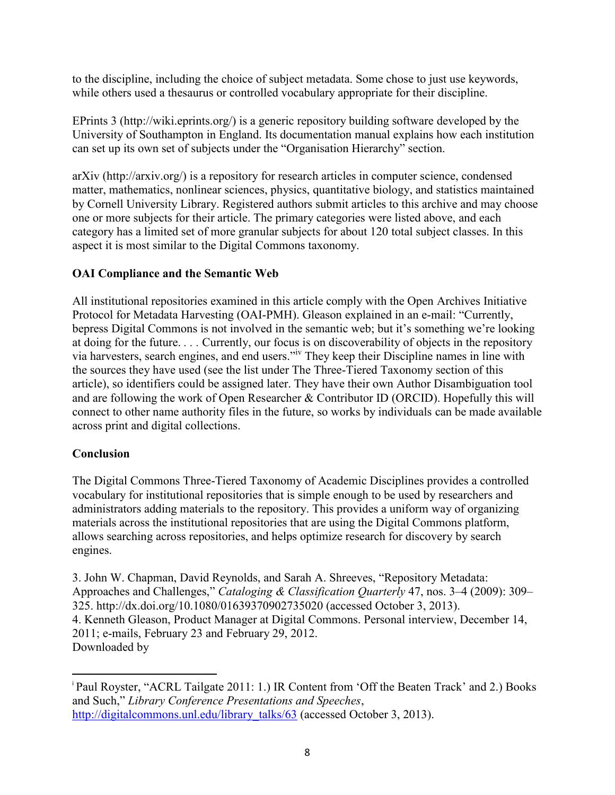to the discipline, including the choice of subject metadata. Some chose to just use keywords, while others used a thesaurus or controlled vocabulary appropriate for their discipline.

EPrints 3 (http://wiki.eprints.org/) is a generic repository building software developed by the University of Southampton in England. Its documentation manual explains how each institution can set up its own set of subjects under the "Organisation Hierarchy" section.

arXiv (http://arxiv.org/) is a repository for research articles in computer science, condensed matter, mathematics, nonlinear sciences, physics, quantitative biology, and statistics maintained by Cornell University Library. Registered authors submit articles to this archive and may choose one or more subjects for their article. The primary categories were listed above, and each category has a limited set of more granular subjects for about 120 total subject classes. In this aspect it is most similar to the Digital Commons taxonomy.

### **OAI Compliance and the Semantic Web**

All institutional repositories examined in this article comply with the Open Archives Initiative Protocol for Metadata Harvesting (OAI-PMH). Gleason explained in an e-mail: "Currently, bepress Digital Commons is not involved in the semantic web; but it's something we're looking at doing for the future. *. . .* Currently, our focus is on discoverability of objects in the repository via harvesters, search engines, and end users."<sup>iv</sup> They keep their Discipline names in line with the sources they have used (see the list under The Three-Tiered Taxonomy section of this article), so identifiers could be assigned later. They have their own Author Disambiguation tool and are following the work of Open Researcher & Contributor ID (ORCID). Hopefully this will connect to other name authority files in the future, so works by individuals can be made available across print and digital collections.

### **Conclusion**

 $\overline{\phantom{a}}$ 

The Digital Commons Three-Tiered Taxonomy of Academic Disciplines provides a controlled vocabulary for institutional repositories that is simple enough to be used by researchers and administrators adding materials to the repository. This provides a uniform way of organizing materials across the institutional repositories that are using the Digital Commons platform, allows searching across repositories, and helps optimize research for discovery by search engines.

3. John W. Chapman, David Reynolds, and Sarah A. Shreeves, "Repository Metadata: Approaches and Challenges," *Cataloging & Classification Quarterly* 47, nos. 3–4 (2009): 309– 325. http://dx.doi.org/10.1080/01639370902735020 (accessed October 3, 2013). 4. Kenneth Gleason, Product Manager at Digital Commons. Personal interview, December 14, 2011; e-mails, February 23 and February 29, 2012. Downloaded by

i Paul Royster, "ACRL Tailgate 2011: 1.) IR Content from 'Off the Beaten Track' and 2.) Books and Such," *Library Conference Presentations and Speeches*, [http://digitalcommons.unl.edu/library\\_talks/63](http://digitalcommons.unl.edu/library_talks/63) (accessed October 3, 2013).